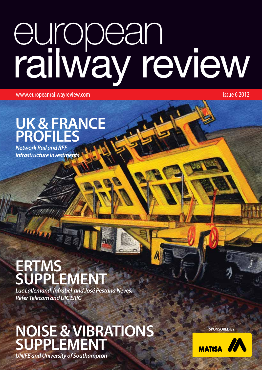# european<br>railway review

www.europeanrailwayreview.com **Issue 6 2012** 

## **UK & FRANCE PROFILES**

*Network Rail and RFF infrastructure investments*

## **ERTMS SUPPLEMENT**

*Luc Lallemand, Infrabel and José Pestana Neves, Refer Telecom and UIC ERIG*

# **NOISE & VIBRATIONS SUPPLEMENT**

**SPONSORED BY:**



*UNIFE and University of Southampton*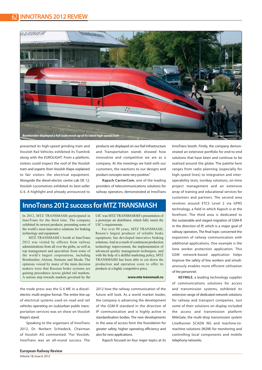

presented its high-speed grinding train and Vossloh Rail Vehicles exhibited its Tramlink along with the EUROLIGHT. From a platform, visitors could inspect the roof of the Vossloh tram and experts from Vossloh Kiepe explained to fair visitors the electrical equipment. Alongside the diesel-electric centre-cab DE 12, Vossloh Locomotives exhibited its best-seller G 6. A highlight and already announced to

products we displayed on our Rail Infrastructure and Transportation stands showed how innovative and competitive we are as a company. At the meetings we held with our customers, the reactions to our designs and product concepts were very positive."

**Kapsch CarrierCom**, one of the leading providers of telecommunications solutions for railway operators, demonstrated at InnoTrans

#### **InnoTrans 2012 success for MTZ TRANSMASH**

In 2012, MTZ TRANSMASH participated in InnoTrans for the third time. The company exhibited its newest products; presenting some of the world's most innovative solutions for braking technology and equipment.

MTZ TRANSMASH's booth at InnoTrans 2012 was visited by officers from railway administrations from all over the globe, as well as top management and specialists from some of the world's largest corporations, including Bombardier, Alstom, Siemens and Skoda. The opinions voiced by many of the main decision makers were that Russian brake systems are gaining precedence across global rail markets. A serious step towards markets governed by the

the trade press was the G 6 ME in a dieselelectric multi-engine format. The entire line-up of electrical systems used on road and rail vehicles operating on (sub)urban public transportation services was on show on Vossloh Kiepe's stand.

Speaking to the organisers of InnoTrans 2012, Dr. Norbert Schiedeck, Chairman of Vossloh AG commented: "For Vossloh, InnoTrans was an all-round success. The

UIC was MTZ TRANSMARSH's presentation of a prototype air distributor, which fully meets the UIC's requirements.

For over 90 years, MTZ TRANSMASH, Russia's largest producer of reliable brake equipment, has developed innovative braking solutions. And as a result of continuous production technology improvement, the implementation of advanced quality management techniques, and with the help of a skillful marketing policy, MTZ TRANSMASH has been able to cut down the production and operation costs to offer its products at a highly competitive price.

#### **www.mtz-transmash.ru**

2012 how the railway communication of the future will look. As a world market leader, the company is advancing the development of the GSM-R standard in the direction of IP communication and is highly active in standardisation bodies. The new developments in the area of access form the foundation for greater safety, higher operating efficiency and also for new applications.

Kapsch focused on four major topics at its

InnoTrans booth. Firstly, the company demonstrated an extensive portfolio for end-to-end solutions that have been and continue to be realised around the globe. The palette here ranges from radio planning (especially for high-speed lines) to integration and interoperability tests, turnkey solutions, on-time project management and an extensive array of training and educational services for customers and partners. The second area revolves around ETCS Level 2 via GPRS technology, a field in which Kapsch is at the forefront. The third area is dedicated to the sustainable and staged migration of GSM-R in the direction of IP, which is a major goal of railway operators. The final topic concerned the expansion of railway communication with additional applications. One example is the lone worker protection application. This GSM network-based application helps improve the safety of line workers and simultaneously enables more efficient utilisation of the personnel.

**KEYMILE**, a leading technology supplier of communications solutions for access and transmission systems, exhibited its extensive range of dedicated network solutions for railway and transport companies. Just some of their solutions on display included the access and transmission platform MileGate, the multi-drop transmission system LineRunner SCADA NG and machine-tomachine solutions (M2M) for monitoring and controlling local components and mobile telephony networks.